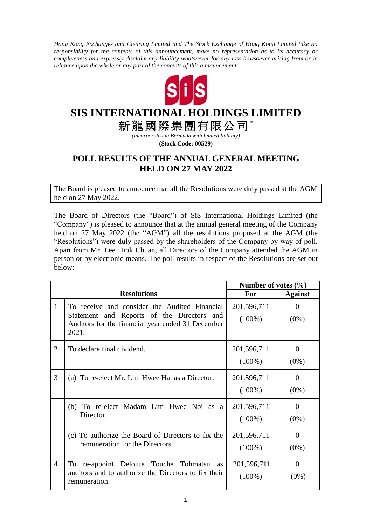*Hong Kong Exchanges and Clearing Limited and The Stock Exchange of Hong Kong Limited take no responsibility for the contents of this announcement, make no representation as to its accuracy or completeness and expressly disclaim any liability whatsoever for any loss howsoever arising from or in reliance upon the whole or any part of the contents of this announcement.*



## **SIS INTERNATIONAL HOLDINGS LIMITED**

新龍國際集團有限公司\*

*(Incorporated in Bermuda with limited liability)*

**(Stock Code: 00529)**

## **POLL RESULTS OF THE ANNUAL GENERAL MEETING HELD ON 27 MAY 2022**

The Board is pleased to announce that all the Resolutions were duly passed at the AGM held on 27 May 2022.

The Board of Directors (the "Board") of SiS International Holdings Limited (the "Company") is pleased to announce that at the annual general meeting of the Company held on 27 May 2022 (the "AGM") all the resolutions proposed at the AGM (the "Resolutions") were duly passed by the shareholders of the Company by way of poll. Apart from Mr. Lee Hiok Chuan, all Directors of the Company attended the AGM in person or by electronic means. The poll results in respect of the Resolutions are set out below:

|                |                                                                                                                                                           | Number of votes $(\% )$  |                           |
|----------------|-----------------------------------------------------------------------------------------------------------------------------------------------------------|--------------------------|---------------------------|
|                | <b>Resolutions</b>                                                                                                                                        | For                      | <b>Against</b>            |
| $\mathbf{1}$   | To receive and consider the Audited Financial<br>Statement and Reports of the Directors and<br>Auditors for the financial year ended 31 December<br>2021. | 201,596,711<br>$(100\%)$ | $\Omega$<br>$(0\%)$       |
| $\overline{2}$ | To declare final dividend.                                                                                                                                | 201,596,711<br>$(100\%)$ | $\theta$<br>$(0\%)$       |
| 3              | (a) To re-elect Mr. Lim Hwee Hai as a Director.                                                                                                           | 201,596,711<br>$(100\%)$ | $\Omega$<br>$(0\%)$       |
|                | (b) To re-elect Madam Lim Hwee Noi as a<br>Director.                                                                                                      | 201,596,711<br>$(100\%)$ | $\Omega$<br>$(0\%)$       |
|                | (c) To authorize the Board of Directors to fix the<br>remuneration for the Directors.                                                                     | 201,596,711<br>$(100\%)$ | $\overline{0}$<br>$(0\%)$ |
| 4              | To re-appoint Deloitte Touche Tohmatsu as<br>auditors and to authorize the Directors to fix their<br>remuneration.                                        | 201,596,711<br>$(100\%)$ | $\theta$<br>$(0\%)$       |